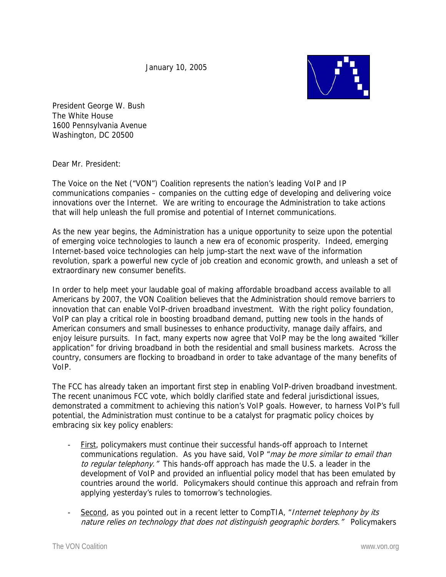January 10, 2005



President George W. Bush The White House 1600 Pennsylvania Avenue Washington, DC 20500

Dear Mr. President:

The Voice on the Net ("VON") Coalition represents the nation's leading VoIP and IP communications companies – companies on the cutting edge of developing and delivering voice innovations over the Internet. We are writing to encourage the Administration to take actions that will help unleash the full promise and potential of Internet communications.

As the new year begins, the Administration has a unique opportunity to seize upon the potential of emerging voice technologies to launch a new era of economic prosperity. Indeed, emerging Internet-based voice technologies can help jump-start the next wave of the information revolution, spark a powerful new cycle of job creation and economic growth, and unleash a set of extraordinary new consumer benefits.

In order to help meet your laudable goal of making affordable broadband access available to all Americans by 2007, the VON Coalition believes that the Administration should remove barriers to innovation that can enable VoIP-driven broadband investment. With the right policy foundation, VoIP can play a critical role in boosting broadband demand, putting new tools in the hands of American consumers and small businesses to enhance productivity, manage daily affairs, and enjoy leisure pursuits. In fact, many experts now agree that VoIP may be the long awaited "killer application" for driving broadband in both the residential and small business markets. Across the country, consumers are flocking to broadband in order to take advantage of the many benefits of VoIP.

The FCC has already taken an important first step in enabling VoIP-driven broadband investment. The recent unanimous FCC vote, which boldly clarified state and federal jurisdictional issues, demonstrated a commitment to achieving this nation's VoIP goals. However, to harness VoIP's full potential, the Administration must continue to be a catalyst for pragmatic policy choices by embracing six key policy enablers:

- First, policymakers must continue their successful hands-off approach to Internet communications regulation. As you have said, VoIP "may be more similar to email than to regular telephony." This hands-off approach has made the U.S. a leader in the development of VoIP and provided an influential policy model that has been emulated by countries around the world. Policymakers should continue this approach and refrain from applying yesterday's rules to tomorrow's technologies.
- Second, as you pointed out in a recent letter to CompTIA, "Internet telephony by its nature relies on technology that does not distinguish geographic borders." Policymakers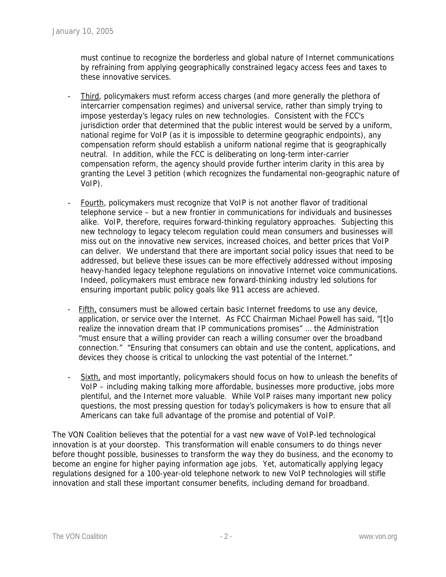must continue to recognize the borderless and global nature of Internet communications by refraining from applying geographically constrained legacy access fees and taxes to these innovative services.

- Third, policymakers must reform access charges (and more generally the plethora of intercarrier compensation regimes) and universal service, rather than simply trying to impose yesterday's legacy rules on new technologies. Consistent with the FCC's jurisdiction order that determined that the public interest would be served by a uniform, national regime for VoIP (as it is impossible to determine geographic endpoints), any compensation reform should establish a uniform national regime that is geographically neutral. In addition, while the FCC is deliberating on long-term inter-carrier compensation reform, the agency should provide further interim clarity in this area by granting the Level 3 petition (which recognizes the fundamental non-geographic nature of VoIP).
- Fourth, policymakers must recognize that VoIP is not another flavor of traditional telephone service – but a new frontier in communications for individuals and businesses alike. VoIP, therefore, requires forward-thinking regulatory approaches. Subjecting this new technology to legacy telecom regulation could mean consumers and businesses will miss out on the innovative new services, increased choices, and better prices that VoIP can deliver. We understand that there are important social policy issues that need to be addressed, but believe these issues can be more effectively addressed without imposing heavy-handed legacy telephone regulations on innovative Internet voice communications. Indeed, policymakers must embrace new forward-thinking industry led solutions for ensuring important public policy goals like 911 access are achieved.
- Fifth, consumers must be allowed certain basic Internet freedoms to use any device, application, or service over the Internet. As FCC Chairman Michael Powell has said, "[t]o realize the innovation dream that IP communications promises" … the Administration "must ensure that a willing provider can reach a willing consumer over the broadband connection." "Ensuring that consumers can obtain and use the content, applications, and devices they choose is critical to unlocking the vast potential of the Internet."
- Sixth, and most importantly, policymakers should focus on how to unleash the benefits of VoIP – including making talking more affordable, businesses more productive, jobs more plentiful, and the Internet more valuable. While VoIP raises many important new policy questions, the most pressing question for today's policymakers is how to ensure that all Americans can take full advantage of the promise and potential of VoIP.

The VON Coalition believes that the potential for a vast new wave of VoIP-led technological innovation is at your doorstep. This transformation will enable consumers to do things never before thought possible, businesses to transform the way they do business, and the economy to become an engine for higher paying information age jobs. Yet, automatically applying legacy regulations designed for a 100-year-old telephone network to new VoIP technologies will stifle innovation and stall these important consumer benefits, including demand for broadband.